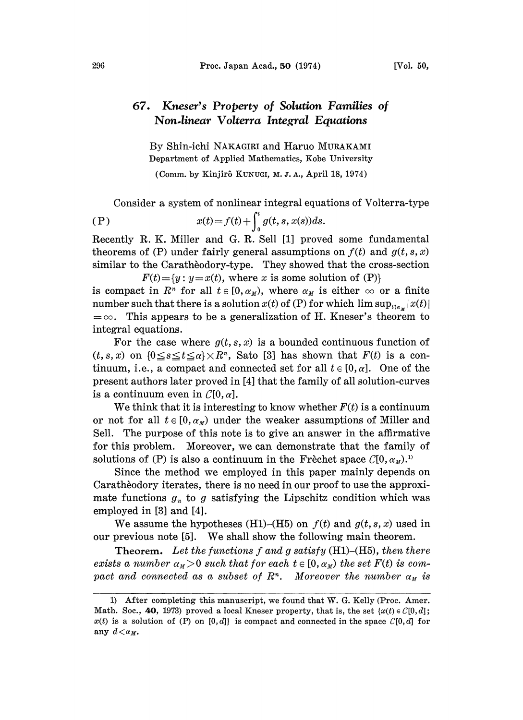## Kneser's Property of Solution Families of Non.linear Volterra Integral Equations

By Shin-ichi NAKAGIRI and Haruo MURAKAMI Department of Applied Mathematics, Kobe University

(Comm. by Kinjir5 KUNUGI, M. Z. A., April 18, 1974)

Consider a system of nonlinear integral equations of Volterra-type

(P) 
$$
x(t) = f(t) + \int_0^t g(t, s, x(s))ds.
$$

Recently R. K. Miller and G. R. Sell [1] proved some fundamental theorems of (P) under fairly general assumptions on  $f(t)$  and  $g(t, s, x)$ similar to the Caratheodory-type. They showed that the cross-section

 $F(t) = \{y : y = x(t), \text{ where } x \text{ is some solution of (P)}\}$ is compact in  $R^n$  for all  $t \in [0, \alpha_M)$ , where  $\alpha_M$  is either  $\infty$  or a finite number such that there is a solution  $x(t)$  of (P) for which  $\limsup_{t \uparrow x} |x(t)|$  $=\infty$ . This appears to be a generalization of H. Kneser's theorem to integral equations.

For the case where  $g(t, s, x)$  is a bounded continuous function of  $(t,s,x)$  on  $\{0 \le s \le t \le \alpha\} \times R^n$ , Sato [3] has shown that  $F(t)$  is a continuum, i.e., a compact and connected set for all  $t \in [0, \alpha]$ . One of the present authors later proved in [4] that the family of all solution-curves is a continuum even in  $Cl(0, \alpha]$ .

We think that it is interesting to know whether  $F(t)$  is a continuum or not for all  $t \in [0, \alpha_M)$  under the weaker assumptions of Miller and Sell. The purpose of this note is to give an answer in the affirmative for this problem. Moreover, we can demonstrate that the family of solutions of (P) is also a continuum in the Frèchet space  $C[0, \alpha_M)$ .<sup>11</sup>

Since the method we employed in this paper mainly depends on Caratheodory iterates, there is no need in our proof to use the approximate functions  $g_n$  to g satisfying the Lipschitz condition which was employed in [3] and [4].

We assume the hypotheses (H1)–(H5) on  $f(t)$  and  $g(t, s, x)$  used in our previous note [5]. We shall show the following main theorem.

**Theorem.** Let the functions f and g satisfy  $(H1)$ – $(H5)$ , then there exists a number  $\alpha_M > 0$  such that for each  $t \in [0, \alpha_M)$  the set  $F(t)$  is compact and connected as a subset of  $R<sup>n</sup>$ . Moreover the number  $\alpha_M$  is

<sup>1)</sup> After completing this manuscript, we found that W. G. Kelly (Proc. Amer. Math. Soc., 40, 1973) proved a local Kneser property, that is, the set  $\{x(t) \in C[0,d]\}$ ;  $x(t)$  is a solution of (P) on [0,d] is compact and connected in the space  $\mathcal{C}[0,d]$  for any  $d < \alpha_M$ .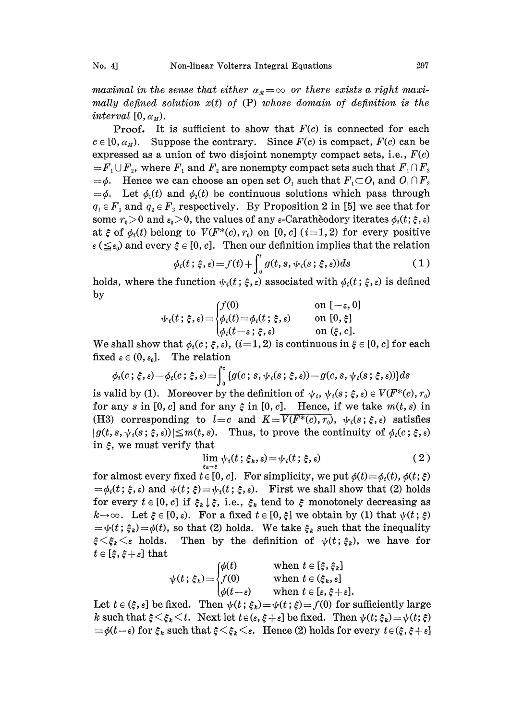maximal in the sense that either  $\alpha_M = \infty$  or there exists a right maximally defined solution  $x(t)$  of  $(P)$  whose domain of definition is the interval  $[0, \alpha_M)$ .

**Proof.** It is sufficient to show that  $F(c)$  is connected for each  $c \in [0, \alpha_{M})$ . Suppose the contrary. Since  $F(c)$  is compact,  $F(c)$  can be expressed as a union of two disjoint nonempty compact sets, i.e.,  $F(c)$  $=F_1 \cup F_2$ , where  $F_1$  and  $F_2$  are nonempty compact sets such that  $F_1 \cap F_2$  $=\phi$ . Hence we can choose an open set  $O_1$  such that  $F_1 \subset O_1$  and  $O_1 \cap F_2$  $=\phi$ . Let  $\phi_1(t)$  and  $\phi_2(t)$  be continuous solutions which pass through  $q_1 \in F_1$  and  $q_2 \in F_2$  respectively. By Proposition 2 in [5] we see that for some  $r_0 > 0$  and  $\varepsilon_0 > 0$ , the values of any  $\varepsilon$ -Caratheodory iterates  $\phi_i(t; \xi, \varepsilon)$ at  $\xi$  of  $\phi_i(t)$  belong to  $V(F^*(c), r_0)$  on [0, c]  $(i=1, 2)$  for every positive  $\epsilon \leq \epsilon_0$  and every  $\xi \in [0, c]$ . Then our definition implies that the relation

$$
\phi_i(t; \xi, \varepsilon) = f(t) + \int_0^t g(t, s, \psi_i(s; \xi, \varepsilon)) ds \tag{1}
$$

holds, where the function  $\psi_i(t; \xi, \varepsilon)$  associated with  $\phi_i(t; \xi, \varepsilon)$  is defined by

$$
\psi_i(t; \xi, \varepsilon) = \begin{cases} f(0) & \text{on } [-\varepsilon, 0] \\ \phi_i(t) = \phi_i(t; \xi, \varepsilon) & \text{on } [0, \xi] \\ \phi_i(t - \varepsilon; \xi, \varepsilon) & \text{on } (\xi, c]. \end{cases}
$$

We shall show that  $\phi_i(c; \xi, \varepsilon), (i=1, 2)$  is continuous in  $\xi \in [0, c]$  for each fixed  $\varepsilon \in (0, \varepsilon_0]$ . The relation

$$
\phi_i(c\,;\,\xi,\varepsilon)-\phi_i(c\,;\,\xi,\varepsilon)=\int_0^c\{g(c\,;\,s,\,\psi_i(s\,;\,\xi,\varepsilon))-g(c,s,\,\psi_i(s\,;\,\xi,\varepsilon))\}ds
$$

is valid by (1). Moreover by the definition of  $\psi_i$ ,  $\psi_i(s; \xi, \varepsilon) \in V(F^*(c), r_0)$ for any s in [0, c] and for any  $\xi$  in [0, c]. Hence, if we take  $m(t, s)$  in (H3) corresponding to  $l=c$  and  $K=\overline{V(F^*(c),r_0)}$ ,  $\psi_i(s;\xi,\varepsilon)$  satisfies  $|g(t, s, \psi_i(s; \xi, \epsilon))| \leq m(t, s).$  Thus, to prove the continuity of  $\phi_i(c; \xi, \epsilon)$ in  $\xi$ , we must verify that

$$
\lim_{k \to \infty} \psi_i(t; \xi_k, \varepsilon) = \psi_i(t; \xi, \varepsilon) \tag{2}
$$

for almost every fixed  $t \in [0, c]$ . For simplicity, we put  $\phi(t) = \phi_i(t), \phi(t; \xi)$  $=\phi_i(t; \xi, \varepsilon)$  and  $\psi(t; \xi)=\psi_i(t; \xi, \varepsilon)$ . First we shall show that (2) holds for every  $t \in [0, c]$  if  $\xi_k \downarrow \xi$ , i.e.,  $\xi_k$  tend to  $\xi$  monotonely decreasing as  $k\rightarrow\infty$ . Let  $\xi \in [0, \varepsilon]$ . For a fixed  $t \in [0, \xi]$  we obtain by (1) that  $\psi(t; \xi)$  $=\psi(t; \xi_k)=\phi(t)$ , so that (2) holds. We take  $\xi_k$  such that the inequality for every  $t \in [0, c]$  if  $\xi_k \downarrow \xi$ , i.e.,  $\xi_k$  tend to  $\xi$  monotonely decreasing as  $k \rightarrow \infty$ . Let  $\xi \in [0, \varepsilon)$ . For a fixed  $t \in [0, \xi]$  we obtain by (1) that  $\psi(t; \xi) = \psi(t; \xi_k) = \phi(t)$ , so that (2) holds. We take  $\xi_k$  s  $t \in [\xi, \xi + \varepsilon]$  that

$$
\psi(t; \xi_k) = \begin{cases} \phi(t) & \text{when } t \in [\xi, \xi_k] \\ f(0) & \text{when } t \in (\xi_k, \varepsilon] \\ \phi(t - \varepsilon) & \text{when } t \in [\varepsilon, \xi + \varepsilon]. \end{cases}
$$

Let  $t \in (\xi, \varepsilon]$  be fixed. Then  $\psi(t; \xi_k) = \psi(t; \xi) = f(0)$  for sufficiently large Let  $t \in (\xi, \varepsilon]$  be fixed. Then  $\psi(t; \xi_k) = \psi(t; \xi) = f(0)$  for sufficiently large<br>  $k$  such that  $\xi \leq \xi_k \leq t$ . Next let  $t \in (\varepsilon, \xi + \varepsilon]$  be fixed. Then  $\psi(t; \xi_k) = \psi(t; \xi)$ <br>  $= \phi(t - \varepsilon)$  for  $\xi_k$  such that  $\xi \leq \xi_k \leq \v$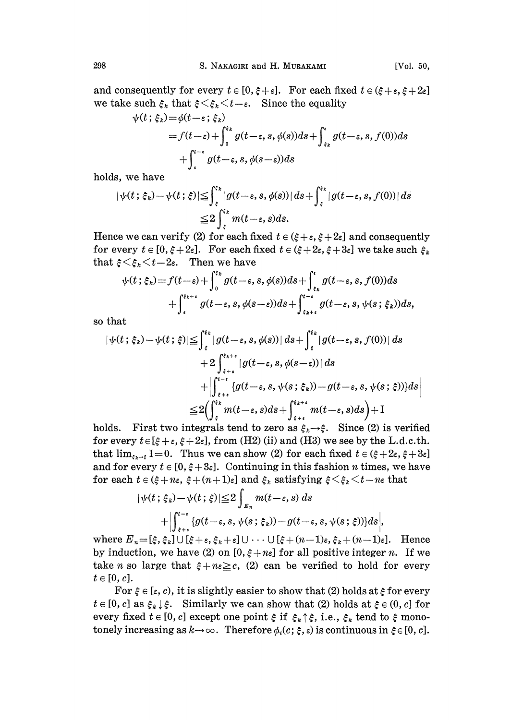and consequently for every  $t \in [0, \xi + \varepsilon]$ . For each fixed  $t \in (\xi + \varepsilon, \xi + 2\varepsilon]$ we take such  $\xi_k$  that  $\xi<\xi_k\leq t-\varepsilon$ . Since the equality

$$
\psi(t; \xi_k) = \phi(t - \varepsilon; \xi_k)
$$
  
=  $f(t - \varepsilon) + \int_0^{\varepsilon_k} g(t - \varepsilon, s, \phi(s)) ds + \int_{\varepsilon_k}^{\varepsilon} g(t - \varepsilon, s, f(0)) ds$   
+  $\int_{\varepsilon}^{t - \varepsilon} g(t - \varepsilon, s, \phi(s - \varepsilon)) ds$ 

holds, we have

$$
|\psi(t;\xi_k) - \psi(t;\xi)| \leq \int_{\xi}^{\xi_k} |g(t-\varepsilon, s, \phi(s))| ds + \int_{\xi}^{\xi_k} |g(t-\varepsilon, s, f(0))| ds
$$
  

$$
\leq 2 \int_{\xi}^{\xi_k} m(t-\varepsilon, s) ds.
$$

Hence we can verify (2) for each fixed  $t \in (\xi + \varepsilon, \xi + 2\varepsilon]$  and consequently for every  $t \in [0, \xi + 2\varepsilon]$ . For each fixed  $t \in (\xi + 2\varepsilon, \xi + 3\varepsilon]$  we take such  $\xi_k$ that  $\xi \leq \xi_k \leq t-2\varepsilon$ . Then we have

$$
\psi(t;\xi_k) = f(t-\varepsilon) + \int_0^{\xi_k} g(t-\varepsilon, s, \phi(s))ds + \int_{\varepsilon_k}^{\varepsilon} g(t-\varepsilon, s, f(0))ds + \int_{\varepsilon}^{\xi_{k+\varepsilon}} g(t-\varepsilon, s, \phi(s-\varepsilon))ds + \int_{\varepsilon_{k+\varepsilon}}^{\iota_{-\varepsilon}} g(t-\varepsilon, s, \psi(s;\xi_k))ds,
$$

so that

$$
|\psi(t;\xi_k) - \psi(t;\xi)| \leq \int_{\xi}^{\xi_k} |g(t-\varepsilon, s, \phi(s))| ds + \int_{\xi}^{\xi_k} |g(t-\varepsilon, s, f(0))| ds
$$
  
+ 
$$
2 \int_{\xi+\varepsilon}^{\xi_{k+\varepsilon}} |g(t-\varepsilon, s, \phi(s-\varepsilon))| ds
$$
  
+ 
$$
|\int_{\xi+\varepsilon}^{t-\varepsilon} \{g(t-\varepsilon, s, \psi(s;\xi_k)) - g(t-\varepsilon, s, \psi(s;\xi))\} ds
$$
  

$$
\leq 2 (\int_{\xi}^{\xi_k} m(t-\varepsilon, s) ds + \int_{\xi+\varepsilon}^{\xi_{k+\varepsilon}} m(t-\varepsilon, s) ds) + I
$$

holds. First two integrals tend to zero as  $\xi_k \rightarrow \xi$ . Since (2) is verified for every  $t \in [\xi + \varepsilon, \xi + 2\varepsilon]$ , from (H2) (ii) and (H3) we see by the L.d.c.th. that  $\lim_{\xi \to \xi} I = 0$ . Thus we can show (2) for each fixed  $t \in (\xi + 2\varepsilon, \xi + 3\varepsilon]$ and for every  $t \in [0, \xi + 3\varepsilon]$ . Continuing in this fashion *n* times, we have for each  $t \in (\xi + n\varepsilon, \xi + (n+1)\varepsilon]$  and  $\xi_k$  satisfying  $\xi \leq \xi_k \leq t-n\varepsilon$  that

$$
|\psi(t;\xi_k) - \psi(t;\xi)| \leq 2 \int_{E_n} m(t-\varepsilon, s) ds
$$
  
+ 
$$
\left| \int_{\xi+\varepsilon}^{t-\varepsilon} \{g(t-\varepsilon, s, \psi(s;\xi_k)) - g(t-\varepsilon, s, \psi(s;\xi))\} ds \right|,
$$

where  $E_n = [\xi, \xi_k] \cup [\xi + \varepsilon, \xi_k + \varepsilon] \cup \cdots \cup [\xi + (n-1)\varepsilon, \xi_k + (n-1)\varepsilon]$ . Hence by induction, we have (2) on  $[0, \xi + n \xi]$  for all positive integer n. If we take *n* so large that  $\xi + n \leq c$ , (2) can be verified to hold for every  $t \in [0, c].$ 

For  $\xi \in [\varepsilon, c)$ , it is slightly easier to show that (2) holds at  $\xi$  for every  $t \in [0, c]$  as  $\xi_k \downarrow \xi$ . Similarly we can show that (2) holds at  $\xi \in (0, c]$  for every fixed  $t \in [0, c]$  except one point  $\xi$  if  $\xi_k \uparrow \xi$ , i.e.,  $\xi_k$  tend to  $\xi$  mono $t \in [0, c]$  as  $\xi_k \downarrow \xi$ . Similarly we can show that (2) holds at  $\xi \in (0, c]$ <br>every fixed  $t \in [0, c]$  except one point  $\xi$  if  $\xi_k \uparrow \xi$ , i.e.,  $\xi_k$  tend to  $\xi$  mo<br>tonely increasing as  $k \to \infty$ . Therefore  $\phi_i(c; \xi, \varepsilon)$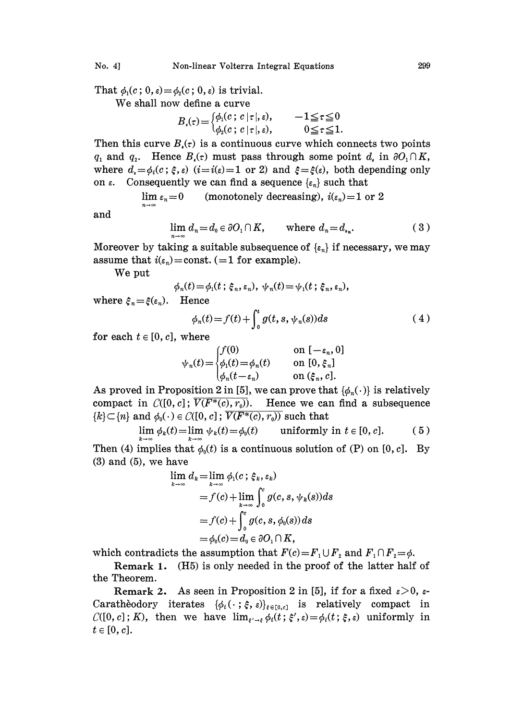That  $\phi_1(c; 0, \varepsilon) = \phi_2(c; 0, \varepsilon)$  is trivial.

We shall now define <sup>a</sup> curve

$$
B_{\epsilon}(\tau) = \begin{cases} \phi_1(c \, ; \, c \, | \, \tau |, \, \varepsilon), & -1 \leq \tau \leq 0 \\ \phi_2(c \, ; \, c \, | \, \tau |, \, \varepsilon), & 0 \leq \tau \leq 1. \end{cases}
$$

Then this curve  $B_i(\tau)$  is a continuous curve which connects two points  $q_1$  and  $q_2$ . Hence  $B_i(\tau)$  must pass through some point  $d_i$ , in  $\partial O_1 \cap K$ , where  $d_i = \phi_i(c; \xi, \varepsilon)$   $(i=i(\varepsilon)=1 \text{ or } 2)$  and  $\xi = \xi(\varepsilon)$ , both depending only on  $\varepsilon$ . Consequently we can find a sequence  $\{\varepsilon_n\}$  such that

$$
\lim_{n\to\infty}\varepsilon_n=0
$$
 (monotonely decreasing),  $i(\varepsilon_n)=1$  or 2

and

$$
\lim_{n \to \infty} d_n = d_0 \in \partial O_1 \cap K, \qquad \text{where } d_n = d_{\iota_n}.\tag{3}
$$

Moreover by taking a suitable subsequence of  $\{\epsilon_n\}$  if necessary, we may assume that  $i(\epsilon_n)$ =const. (=1 for example).

We put

$$
\phi_n(t) = \phi_1(t \; ; \; \xi_n, \varepsilon_n), \; \psi_n(t) = \psi_1(t \; ; \; \xi_n, \varepsilon_n),
$$
  
Hence

where  $\xi_n = \xi(\varepsilon_n)$ . Hence

$$
\phi_n(t) = f(t) + \int_0^t g(t, s, \psi_n(s)) ds \tag{4}
$$

for each  $t \in [0, c]$ , where

$$
\psi_n(t) = \begin{cases} f(0) & \text{on } [-\varepsilon_n, 0] \\ \phi_1(t) = \phi_n(t) & \text{on } [0, \xi_n] \\ \phi_n(t - \varepsilon_n) & \text{on } (\xi_n, c]. \end{cases}
$$

As proved in Proposition 2 in [5], we can prove that  $\{\phi_n(\cdot)\}\$ is relatively compact in  $C([0, c]; \overline{V(F^*(c), r_0)})$ . Hence we can find a subsequence  ${k \in [n]$  and  $\phi_0(\cdot) \in C([0, c]; \overline{V(F^*(c), r_0))}$  such that

$$
\lim_{k \to \infty} \phi_k(t) = \lim_{k \to \infty} \psi_k(t) = \phi_0(t) \quad \text{uniformly in } t \in [0, c]. \tag{5}
$$

Then (4) implies that  $\phi_0(t)$  is a continuous solution of (P) on [0, c]. By  $(3)$  and  $(5)$ , we have

$$
\lim_{k \to \infty} d_k = \lim_{k \to \infty} \phi_1(c; \xi_k, \varepsilon_k)
$$
  
=  $f(c) + \lim_{k \to \infty} \int_0^c g(c, s, \psi_k(s)) ds$   
=  $f(c) + \int_0^c g(c, s, \phi_0(s)) ds$   
=  $\phi_0(c) = d_0 \in \partial O_1 \cap K$ ,

which contradicts the assumption that  $F(c) = F_1 \cup F_2$  and  $F_1 \cap F_2 = \phi$ .

Remark 1. (H5) is only needed in the proof of the latter half of the Theorem.

Remark 2. As seen in Proposition 2 in [5], if for a fixed  $\varepsilon>0$ ,  $\varepsilon$ - $C([0, c]; K)$ , then we have  $\lim_{\epsilon \to \epsilon} \phi_i(t; \xi', \epsilon) = \phi_i(t; \xi, \epsilon)$  uniformly in Caratheodory iterates  $\{\phi_i(\cdot;\xi,\varepsilon)\}_{\varepsilon\in[0,\varepsilon]}$  is relatively compact in  $t \in [0, c].$